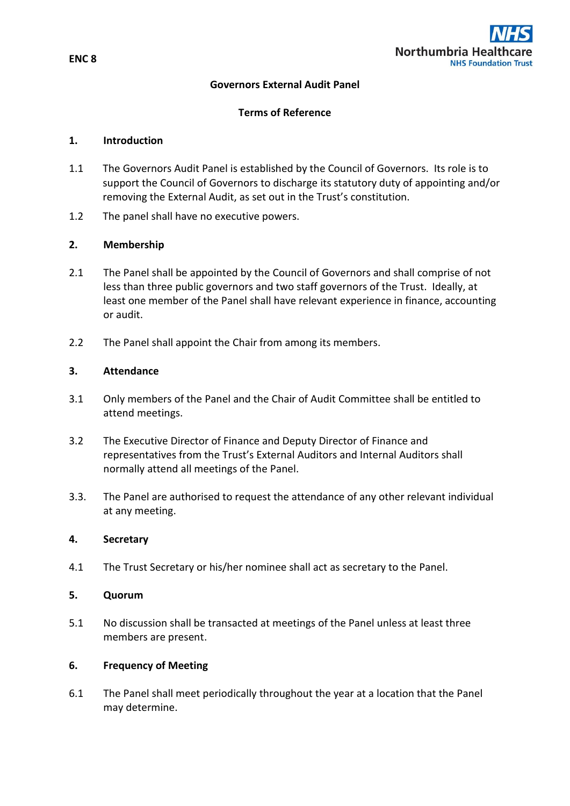

# **Governors External Audit Panel**

# **Terms of Reference**

#### **1. Introduction**

- 1.1 The Governors Audit Panel is established by the Council of Governors. Its role is to support the Council of Governors to discharge its statutory duty of appointing and/or removing the External Audit, as set out in the Trust's constitution.
- 1.2 The panel shall have no executive powers.

#### **2. Membership**

- 2.1 The Panel shall be appointed by the Council of Governors and shall comprise of not less than three public governors and two staff governors of the Trust. Ideally, at least one member of the Panel shall have relevant experience in finance, accounting or audit.
- 2.2 The Panel shall appoint the Chair from among its members.

# **3. Attendance**

- 3.1 Only members of the Panel and the Chair of Audit Committee shall be entitled to attend meetings.
- 3.2 The Executive Director of Finance and Deputy Director of Finance and representatives from the Trust's External Auditors and Internal Auditors shall normally attend all meetings of the Panel.
- 3.3. The Panel are authorised to request the attendance of any other relevant individual at any meeting.

# **4. Secretary**

4.1 The Trust Secretary or his/her nominee shall act as secretary to the Panel.

# **5. Quorum**

5.1 No discussion shall be transacted at meetings of the Panel unless at least three members are present.

#### **6. Frequency of Meeting**

6.1 The Panel shall meet periodically throughout the year at a location that the Panel may determine.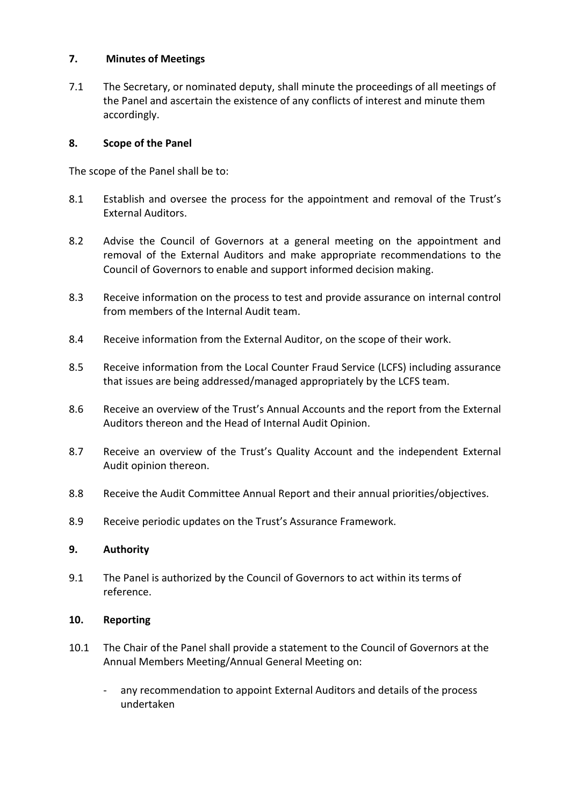# **7. Minutes of Meetings**

7.1 The Secretary, or nominated deputy, shall minute the proceedings of all meetings of the Panel and ascertain the existence of any conflicts of interest and minute them accordingly.

# **8. Scope of the Panel**

The scope of the Panel shall be to:

- 8.1 Establish and oversee the process for the appointment and removal of the Trust's External Auditors.
- 8.2 Advise the Council of Governors at a general meeting on the appointment and removal of the External Auditors and make appropriate recommendations to the Council of Governors to enable and support informed decision making.
- 8.3 Receive information on the process to test and provide assurance on internal control from members of the Internal Audit team.
- 8.4 Receive information from the External Auditor, on the scope of their work.
- 8.5 Receive information from the Local Counter Fraud Service (LCFS) including assurance that issues are being addressed/managed appropriately by the LCFS team.
- 8.6 Receive an overview of the Trust's Annual Accounts and the report from the External Auditors thereon and the Head of Internal Audit Opinion.
- 8.7 Receive an overview of the Trust's Quality Account and the independent External Audit opinion thereon.
- 8.8 Receive the Audit Committee Annual Report and their annual priorities/objectives.
- 8.9 Receive periodic updates on the Trust's Assurance Framework.

#### **9. Authority**

9.1 The Panel is authorized by the Council of Governors to act within its terms of reference.

#### **10. Reporting**

- 10.1 The Chair of the Panel shall provide a statement to the Council of Governors at the Annual Members Meeting/Annual General Meeting on:
	- any recommendation to appoint External Auditors and details of the process undertaken